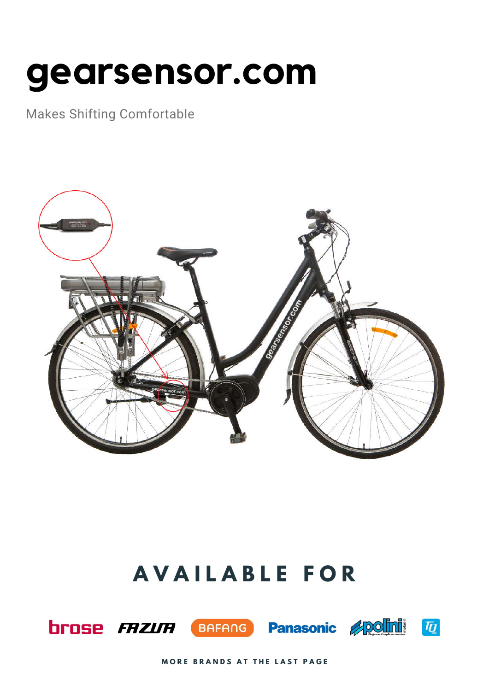# **gearsensor.com**

Makes Shifting Comfortable



## **A V A I L A B L E F O R**









**MORE BRANDS AT THE LAST PAGE**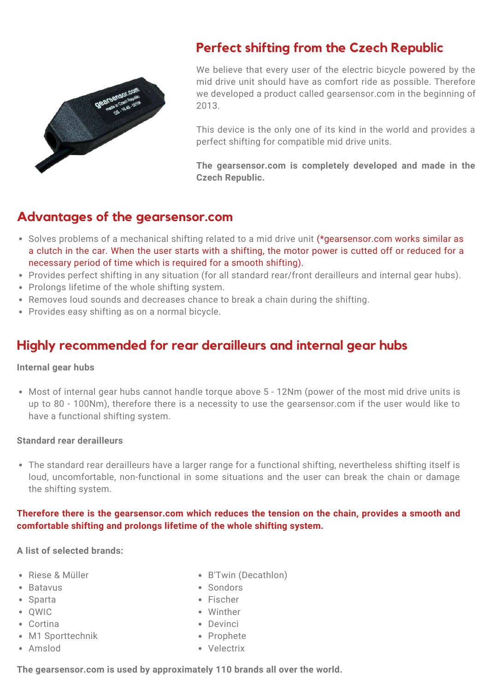

### **Perfect shifting from the Czech Republic**

We believe that every user of the electric bicycle powered by the mid drive unit should have as comfort ride as possible. Therefore we developed a product called gearsensor.com in the beginning of 2013.

This device is the only one of its kind in the world and provides a perfect shifting for compatible mid drive units.

**The gearsensor.com is completely developed and made in the Czech Republic.**

#### **Advantages of the gearsensor.com**

- Solves problems of a mechanical shifting related to a mid drive unit (\*gearsensor.com works similar as a clutch in the car. When the user starts with a shifting, the motor power is cutted off or reduced for a necessary period of time which is required for a smooth shifting).
- Provides perfect shifting in any situation (for all standard rear/front derailleurs and internal gear hubs).
- Prolongs lifetime of the whole shifting system.
- Removes loud sounds and decreases chance to break a chain during the shifting.
- Provides easy shifting as on a normal bicycle.

### **Highly recommended for rear derailleurs and internal gear hubs**

#### **Internal gear hubs**

Most of internal gear hubs cannot handle torque above 5 - 12Nm (power of the most mid drive units is up to 80 - 100Nm), therefore there is a necessity to use the gearsensor.com if the user would like to have a functional shifting system.

#### **Standard rear derailleurs**

The standard rear derailleurs have a larger range for a functional shifting, nevertheless shifting itself is loud, uncomfortable, non-functional in some situations and the user can break the chain or damage the shifting system.

#### **Therefore there is the gearsensor.com which reduces the tension on the chain, provides a smooth and comfortable shifting and prolongs lifetime of the whole shifting system.**

#### **A list of selected brands:**

- Riese & Müller
- Batavus
- Sparta
- OWIC
- Cortina
- M1 Sporttechnik
- Amslod
- B'Twin (Decathlon)
- Sondors
- Fischer
- Winther
- Devinci
- Prophete
- Velectrix

**The gearsensor.com is used by approximately 110 brands all over the world.**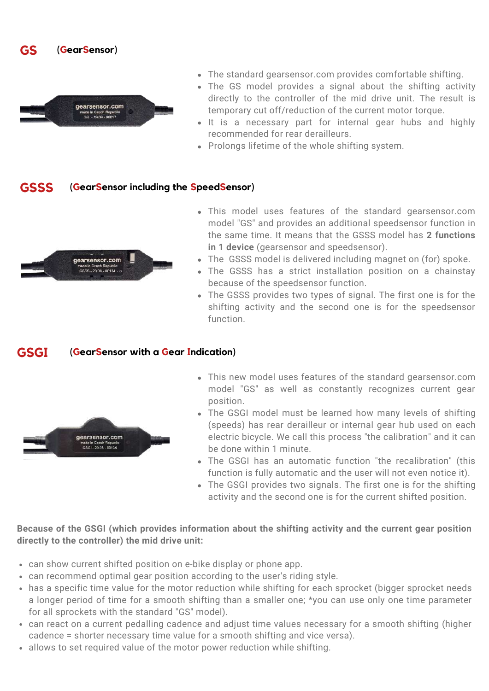



- The standard gearsensor.com provides comfortable shifting.
- The GS model provides a signal about the shifting activity directly to the controller of the mid drive unit. The result is temporary cut off/reduction of the current motor torque.
- It is a necessary part for internal gear hubs and highly recommended for rear derailleurs.
- Prolongs lifetime of the whole shifting system.

#### **GSSS (GearSensor including the SpeedSensor)**



- This model uses features of the standard gearsensor.com model "GS" and provides an additional speedsensor function in the same time. It means that the GSSS model has **2 functions in 1 device** (gearsensor and speedsensor).
- The GSSS model is delivered including magnet on (for) spoke.
- The GSSS has a strict installation position on a chainstay because of the speedsensor function.
- The GSSS provides two types of signal. The first one is for the shifting activity and the second one is for the speedsensor function.

#### **GSGI (GearSensor with a Gear Indication)**



- This new model uses features of the standard gearsensor.com model "GS" as well as constantly recognizes current gear position.
- The GSGI model must be learned how many levels of shifting (speeds) has rear derailleur or internal gear hub used on each electric bicycle. We call this process "the calibration" and it can be done within 1 minute.
- The GSGI has an automatic function "the recalibration" (this function is fully automatic and the user will not even notice it).
- The GSGI provides two signals. The first one is for the shifting activity and the second one is for the current shifted position.

#### **Because of the GSGI (which provides information about the shifting activity and the current gear position directly to the controller) the mid drive unit:**

- can show current shifted position on e-bike display or phone app.
- can recommend optimal gear position according to the user's riding style.
- has a specific time value for the motor reduction while shifting for each sprocket (bigger sprocket needs a longer period of time for a smooth shifting than a smaller one; \*you can use only one time parameter for all sprockets with the standard "GS" model).
- can react on a current pedalling cadence and adjust time values necessary for a smooth shifting (higher cadence = shorter necessary time value for a smooth shifting and vice versa).
- allows to set required value of the motor power reduction while shifting.